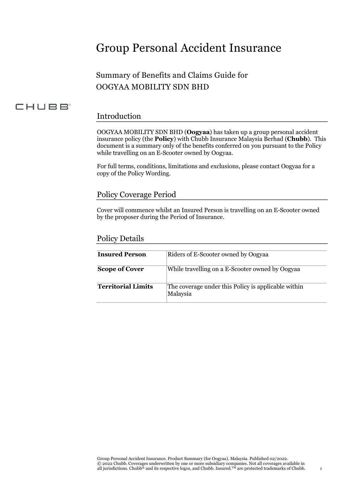# Group Personal Accident Insurance

## Summary of Benefits and Claims Guide for OOGYAA MOBILITY SDN BHD

## CHUBB<sup>®</sup>

#### Introduction

OOGYAA MOBILITY SDN BHD (**Oogyaa**) has taken up a group personal accident insurance policy (the **Policy**) with Chubb Insurance Malaysia Berhad (**Chubb**). This document is a summary only of the benefits conferred on you pursuant to the Policy while travelling on an E-Scooter owned by Oogyaa.

For full terms, conditions, limitations and exclusions, please contact Oogyaa for a copy of the Policy Wording.

## Policy Coverage Period

Cover will commence whilst an Insured Person is travelling on an E-Scooter owned by the proposer during the Period of Insurance.

### Policy Details

| <b>Insured Person</b>     | Riders of E-Scooter owned by Oogyaa                             |
|---------------------------|-----------------------------------------------------------------|
| <b>Scope of Cover</b>     | While travelling on a E-Scooter owned by Oogyaa                 |
| <b>Territorial Limits</b> | The coverage under this Policy is applicable within<br>Malaysia |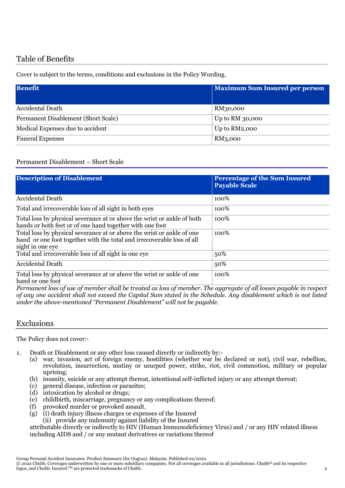## Table of Benefits

Cover is subject to the terms, conditions and exclusions in the Policy Wording.

| <b>Benefit</b>                      | <b>Maximum Sum Insured per person</b> |
|-------------------------------------|---------------------------------------|
| Accidental Death                    | RM30,000                              |
| Permanent Disablement (Short Scale) | Up to RM 30,000                       |
| Medical Expenses due to accident    | Up to RM2,000                         |
| <b>Funeral Expenses</b>             | RM3,000                               |

#### Permanent Disablement – Short Scale

| <b>Description of Disablement</b>                                                                                                                                    | <b>Percentage of the Sum Insured</b><br><b>Payable Scale</b> |
|----------------------------------------------------------------------------------------------------------------------------------------------------------------------|--------------------------------------------------------------|
| <b>Accidental Death</b>                                                                                                                                              | 100%                                                         |
| Total and irrecoverable loss of all sight in both eyes                                                                                                               | 100%                                                         |
| Total loss by physical severance at or above the wrist or ankle of both<br>hands or both feet or of one hand together with one foot                                  | 100%                                                         |
| Total loss by physical severance at or above the wrist or ankle of one<br>hand or one foot together with the total and irrecoverable loss of all<br>sight in one eye | 100%                                                         |
| Total and irrecoverable loss of all sight in one eye                                                                                                                 | 50%                                                          |
| <b>Accidental Death</b>                                                                                                                                              | 50%                                                          |
| Total loss by physical severance at or above the wrist or ankle of one<br>hand or one foot                                                                           | 100%                                                         |

*Permanent loss of use of member shall be treated as loss of member. The aggregate of all losses payable in respect of any one accident shall not exceed the Capital Sum stated in the Schedule. Any disablement which is not listed under the above-mentioned "Permanent Disablement" will not be payable.*

#### Exclusions

The Policy does not cover:-

- 1. Death or Disablement or any other loss caused directly or indirectly by:-
	- (a) war, invasion, act of foreign enemy, hostilities (whether war be declared or not), civil war, rebellion, revolution, insurrection, mutiny or usurped power, strike, riot, civil commotion, military or popular uprising;
	- (b) insanity, suicide or any attempt thereat, intentional self-inflicted injury or any attempt thereat;
	- (c) general disease, infection or parasites;
	- (d) intoxication by alcohol or drugs;
	- (e) childbirth, miscarriage, pregnancy or any complications thereof;
	- (f) provoked murder or provoked assault.
	- (g) (i) death injury illness charges or expenses of the Insured
		- (ii) provide any indemnity against liability of the Insured

attributable directly or indirectly to HIV (Human Immunodeficiency Virus) and / or any HIV related illness including AIDS and / or any mutant derivatives or variations thereof

Group Personal Accident Insurance. Product Summary (for Oogyaa). Malaysia. Published 02/2022.

© 2022 Chubb. Coverages underwritten by one or more subsidiary companies. Not all coverages available in all jurisdictions. Chubb® and its respective logos, and Chubb. Insured.TM are protected trademarks of Chubb. 2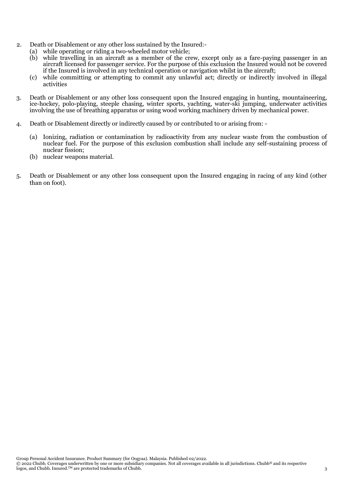- 2. Death or Disablement or any other loss sustained by the Insured:-
	- (a) while operating or riding a two-wheeled motor vehicle;
		- (b) while travelling in an aircraft as a member of the crew, except only as a fare-paying passenger in an aircraft licensed for passenger service. For the purpose of this exclusion the Insured would not be covered if the Insured is involved in any technical operation or navigation whilst in the aircraft;
		- (c) while committing or attempting to commit any unlawful act; directly or indirectly involved in illegal activities
- 3. Death or Disablement or any other loss consequent upon the Insured engaging in hunting, mountaineering, ice-hockey, polo-playing, steeple chasing, winter sports, yachting, water-ski jumping, underwater activities involving the use of breathing apparatus or using wood working machinery driven by mechanical power.
- 4. Death or Disablement directly or indirectly caused by or contributed to or arising from:
	- (a) Ionizing, radiation or contamination by radioactivity from any nuclear waste from the combustion of nuclear fuel. For the purpose of this exclusion combustion shall include any self-sustaining process of nuclear fission;
	- (b) nuclear weapons material.
- 5. Death or Disablement or any other loss consequent upon the Insured engaging in racing of any kind (other than on foot).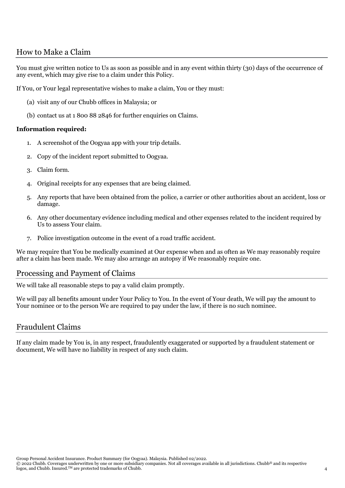## How to Make a Claim

You must give written notice to Us as soon as possible and in any event within thirty (30) days of the occurrence of any event, which may give rise to a claim under this Policy.

If You, or Your legal representative wishes to make a claim, You or they must:

- (a) visit any of our Chubb offices in Malaysia; or
- (b) contact us at 1 800 88 2846 for further enquiries on Claims.

#### **Information required:**

- 1. A screenshot of the Oogyaa app with your trip details.
- 2. Copy of the incident report submitted to Oogyaa.
- 3. Claim form.
- 4. Original receipts for any expenses that are being claimed.
- 5. Any reports that have been obtained from the police, a carrier or other authorities about an accident, loss or damage.
- 6. Any other documentary evidence including medical and other expenses related to the incident required by Us to assess Your claim.
- 7. Police investigation outcome in the event of a road traffic accident.

We may require that You be medically examined at Our expense when and as often as We may reasonably require after a claim has been made. We may also arrange an autopsy if We reasonably require one.

#### Processing and Payment of Claims

We will take all reasonable steps to pay a valid claim promptly.

We will pay all benefits amount under Your Policy to You. In the event of Your death, We will pay the amount to Your nominee or to the person We are required to pay under the law, if there is no such nominee.

#### Fraudulent Claims

If any claim made by You is, in any respect, fraudulently exaggerated or supported by a fraudulent statement or document, We will have no liability in respect of any such claim.

Group Personal Accident Insurance. Product Summary (for Oogyaa). Malaysia. Published 02/2022.

© 2022 Chubb. Coverages underwritten by one or more subsidiary companies. Not all coverages available in all jurisdictions. Chubb® and its respective logos, and Chubb. Insured.<sup>TM</sup> are protected trademarks of Chubb. 4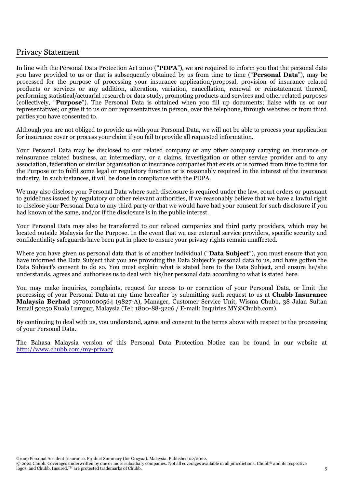## Privacy Statement

In line with the Personal Data Protection Act 2010 ("**PDPA**"), we are required to inform you that the personal data you have provided to us or that is subsequently obtained by us from time to time ("**Personal Data**"), may be processed for the purpose of processing your insurance application/proposal, provision of insurance related products or services or any addition, alteration, variation, cancellation, renewal or reinstatement thereof, performing statistical/actuarial research or data study, promoting products and services and other related purposes (collectively, "**Purpose**"). The Personal Data is obtained when you fill up documents; liaise with us or our representatives; or give it to us or our representatives in person, over the telephone, through websites or from third parties you have consented to.

Although you are not obliged to provide us with your Personal Data, we will not be able to process your application for insurance cover or process your claim if you fail to provide all requested information.

Your Personal Data may be disclosed to our related company or any other company carrying on insurance or reinsurance related business, an intermediary, or a claims, investigation or other service provider and to any association, federation or similar organisation of insurance companies that exists or is formed from time to time for the Purpose or to fulfil some legal or regulatory function or is reasonably required in the interest of the insurance industry. In such instances, it will be done in compliance with the PDPA.

We may also disclose your Personal Data where such disclosure is required under the law, court orders or pursuant to guidelines issued by regulatory or other relevant authorities, if we reasonably believe that we have a lawful right to disclose your Personal Data to any third party or that we would have had your consent for such disclosure if you had known of the same, and/or if the disclosure is in the public interest.

Your Personal Data may also be transferred to our related companies and third party providers, which may be located outside Malaysia for the Purpose. In the event that we use external service providers, specific security and confidentiality safeguards have been put in place to ensure your privacy rights remain unaffected.

Where you have given us personal data that is of another individual ("**Data Subject**"), you must ensure that you have informed the Data Subject that you are providing the Data Subject's personal data to us, and have gotten the Data Subject's consent to do so. You must explain what is stated here to the Data Subject, and ensure he/she understands, agrees and authorises us to deal with his/her personal data according to what is stated here.

You may make inquiries, complaints, request for access to or correction of your Personal Data, or limit the processing of your Personal Data at any time hereafter by submitting such request to us at **Chubb Insurance Malaysia Berhad** 197001000564 (9827-A), Manager, Customer Service Unit, Wisma Chubb, 38 Jalan Sultan Ismail 50250 Kuala Lumpur, Malaysia (Tel: 1800-88-3226 / E-mail: Inquiries.MY@Chubb.com).

By continuing to deal with us, you understand, agree and consent to the terms above with respect to the processing of your Personal Data.

The Bahasa Malaysia version of this Personal Data Protection Notice can be found in our website at <http://www.chubb.com/my-privacy>

© 2022 Chubb. Coverages underwritten by one or more subsidiary companies. Not all coverages available in all jurisdictions. Chubb® and its respective logos, and Chubb. Insured.<sup>TM</sup> are protected trademarks of Chubb. 5